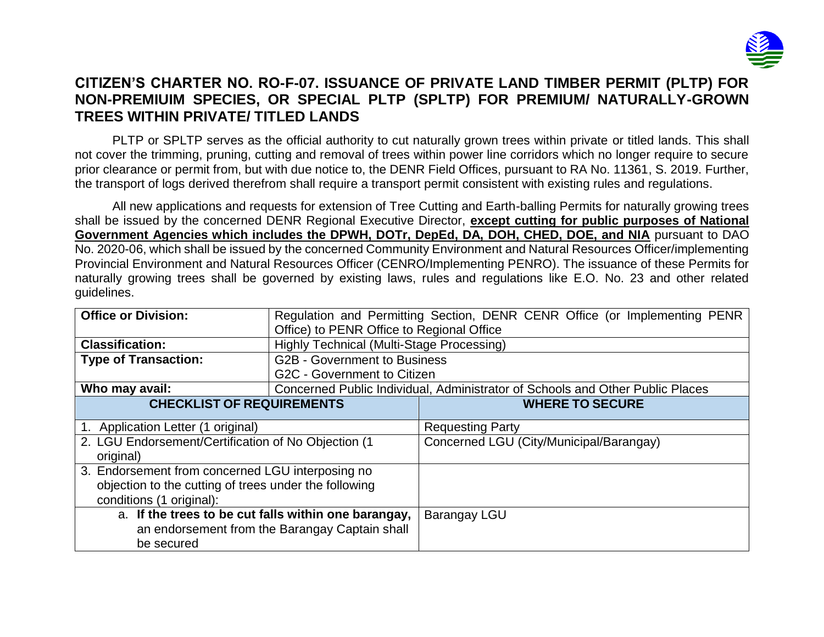

## **CITIZEN'S CHARTER NO. RO-F-07. ISSUANCE OF PRIVATE LAND TIMBER PERMIT (PLTP) FOR NON-PREMIUIM SPECIES, OR SPECIAL PLTP (SPLTP) FOR PREMIUM/ NATURALLY-GROWN TREES WITHIN PRIVATE/ TITLED LANDS**

PLTP or SPLTP serves as the official authority to cut naturally grown trees within private or titled lands. This shall not cover the trimming, pruning, cutting and removal of trees within power line corridors which no longer require to secure prior clearance or permit from, but with due notice to, the DENR Field Offices, pursuant to RA No. 11361, S. 2019. Further, the transport of logs derived therefrom shall require a transport permit consistent with existing rules and regulations.

All new applications and requests for extension of Tree Cutting and Earth-balling Permits for naturally growing trees shall be issued by the concerned DENR Regional Executive Director, **except cutting for public purposes of National Government Agencies which includes the DPWH, DOTr, DepEd, DA, DOH, CHED, DOE, and NIA** pursuant to DAO No. 2020-06, which shall be issued by the concerned Community Environment and Natural Resources Officer/implementing Provincial Environment and Natural Resources Officer (CENRO/Implementing PENRO). The issuance of these Permits for naturally growing trees shall be governed by existing laws, rules and regulations like E.O. No. 23 and other related guidelines.

| <b>Office or Division:</b>                                        | Office) to PENR Office to Regional Office      | Regulation and Permitting Section, DENR CENR Office (or Implementing PENR     |  |  |
|-------------------------------------------------------------------|------------------------------------------------|-------------------------------------------------------------------------------|--|--|
| <b>Classification:</b>                                            | Highly Technical (Multi-Stage Processing)      |                                                                               |  |  |
|                                                                   |                                                |                                                                               |  |  |
| <b>Type of Transaction:</b>                                       | <b>G2B - Government to Business</b>            |                                                                               |  |  |
|                                                                   | G2C - Government to Citizen                    |                                                                               |  |  |
| Who may avail:                                                    |                                                | Concerned Public Individual, Administrator of Schools and Other Public Places |  |  |
| <b>CHECKLIST OF REQUIREMENTS</b>                                  | <b>WHERE TO SECURE</b>                         |                                                                               |  |  |
| 1. Application Letter (1 original)                                |                                                | <b>Requesting Party</b>                                                       |  |  |
| 2. LGU Endorsement/Certification of No Objection (1)<br>original) |                                                | Concerned LGU (City/Municipal/Barangay)                                       |  |  |
| 3. Endorsement from concerned LGU interposing no                  |                                                |                                                                               |  |  |
| objection to the cutting of trees under the following             |                                                |                                                                               |  |  |
| conditions (1 original):                                          |                                                |                                                                               |  |  |
| a. If the trees to be cut falls within one barangay,              |                                                | <b>Barangay LGU</b>                                                           |  |  |
|                                                                   | an endorsement from the Barangay Captain shall |                                                                               |  |  |
| be secured                                                        |                                                |                                                                               |  |  |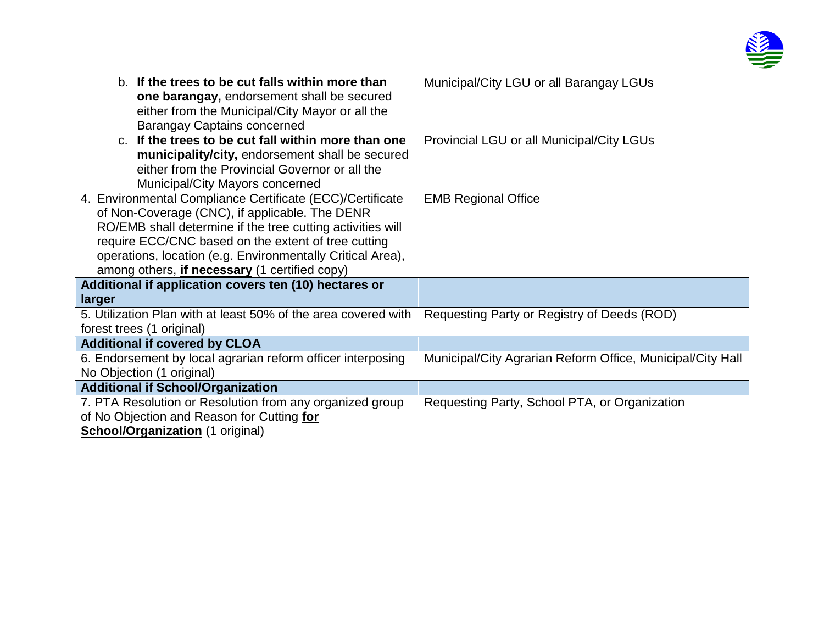

| b. If the trees to be cut falls within more than<br>one barangay, endorsement shall be secured | Municipal/City LGU or all Barangay LGUs                    |
|------------------------------------------------------------------------------------------------|------------------------------------------------------------|
| either from the Municipal/City Mayor or all the                                                |                                                            |
| <b>Barangay Captains concerned</b>                                                             |                                                            |
| c. If the trees to be cut fall within more than one                                            | Provincial LGU or all Municipal/City LGUs                  |
| municipality/city, endorsement shall be secured                                                |                                                            |
| either from the Provincial Governor or all the                                                 |                                                            |
| Municipal/City Mayors concerned                                                                |                                                            |
| 4. Environmental Compliance Certificate (ECC)/Certificate                                      | <b>EMB Regional Office</b>                                 |
| of Non-Coverage (CNC), if applicable. The DENR                                                 |                                                            |
| RO/EMB shall determine if the tree cutting activities will                                     |                                                            |
| require ECC/CNC based on the extent of tree cutting                                            |                                                            |
| operations, location (e.g. Environmentally Critical Area),                                     |                                                            |
| among others, <i>if necessary</i> (1 certified copy)                                           |                                                            |
| Additional if application covers ten (10) hectares or                                          |                                                            |
| larger                                                                                         |                                                            |
| 5. Utilization Plan with at least 50% of the area covered with                                 | Requesting Party or Registry of Deeds (ROD)                |
| forest trees (1 original)                                                                      |                                                            |
| <b>Additional if covered by CLOA</b>                                                           |                                                            |
| 6. Endorsement by local agrarian reform officer interposing                                    | Municipal/City Agrarian Reform Office, Municipal/City Hall |
| No Objection (1 original)                                                                      |                                                            |
| <b>Additional if School/Organization</b>                                                       |                                                            |
| 7. PTA Resolution or Resolution from any organized group                                       | Requesting Party, School PTA, or Organization              |
| of No Objection and Reason for Cutting for                                                     |                                                            |
| <b>School/Organization (1 original)</b>                                                        |                                                            |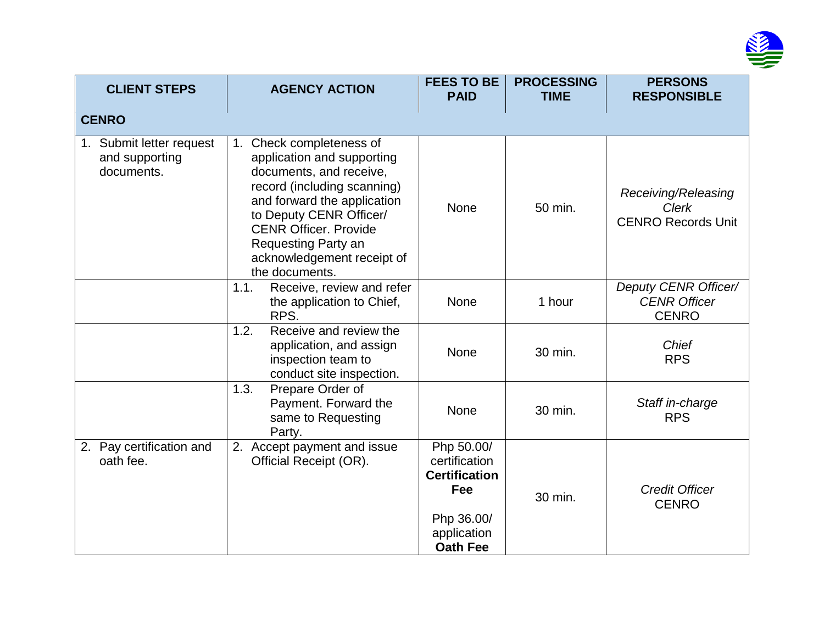

| <b>CLIENT STEPS</b>                                      | <b>AGENCY ACTION</b>                                                                                                                                                                                                                                                                                    | <b>FEES TO BE</b><br><b>PAID</b>                                                                           | <b>PROCESSING</b><br><b>TIME</b> | <b>PERSONS</b><br><b>RESPONSIBLE</b>                             |
|----------------------------------------------------------|---------------------------------------------------------------------------------------------------------------------------------------------------------------------------------------------------------------------------------------------------------------------------------------------------------|------------------------------------------------------------------------------------------------------------|----------------------------------|------------------------------------------------------------------|
| <b>CENRO</b>                                             |                                                                                                                                                                                                                                                                                                         |                                                                                                            |                                  |                                                                  |
| 1. Submit letter request<br>and supporting<br>documents. | Check completeness of<br>1 <sub>1</sub><br>application and supporting<br>documents, and receive,<br>record (including scanning)<br>and forward the application<br>to Deputy CENR Officer/<br><b>CENR Officer, Provide</b><br><b>Requesting Party an</b><br>acknowledgement receipt of<br>the documents. | <b>None</b>                                                                                                | 50 min.                          | Receiving/Releasing<br><b>Clerk</b><br><b>CENRO Records Unit</b> |
|                                                          | Receive, review and refer<br>1.1.<br>the application to Chief,<br>RPS.                                                                                                                                                                                                                                  | None                                                                                                       | 1 hour                           | Deputy CENR Officer/<br><b>CENR Officer</b><br><b>CENRO</b>      |
|                                                          | 1.2.<br>Receive and review the<br>application, and assign<br>inspection team to<br>conduct site inspection.                                                                                                                                                                                             | None                                                                                                       | 30 min.                          | Chief<br><b>RPS</b>                                              |
|                                                          | 1.3.<br>Prepare Order of<br>Payment. Forward the<br>same to Requesting<br>Party.                                                                                                                                                                                                                        | <b>None</b>                                                                                                | 30 min.                          | Staff in-charge<br><b>RPS</b>                                    |
| 2. Pay certification and<br>oath fee.                    | 2. Accept payment and issue<br>Official Receipt (OR).                                                                                                                                                                                                                                                   | Php 50.00/<br>certification<br><b>Certification</b><br>Fee<br>Php 36.00/<br>application<br><b>Oath Fee</b> | 30 min.                          | <b>Credit Officer</b><br><b>CENRO</b>                            |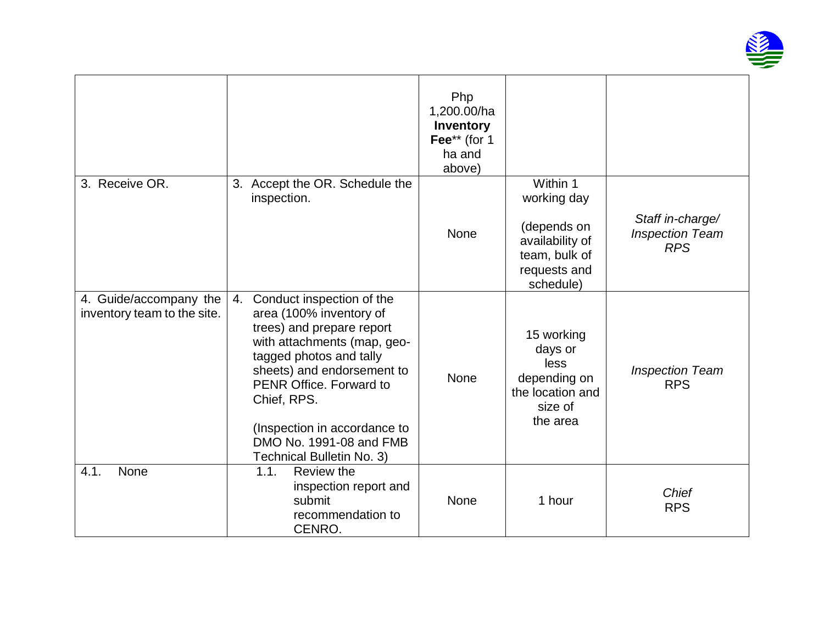

|                                                       |                                                                                                                                                                                                                                                                                                                   | Php<br>1,200.00/ha<br>Inventory<br>Fee** (for 1<br>ha and<br>above) |                                                                                                         |                                                          |
|-------------------------------------------------------|-------------------------------------------------------------------------------------------------------------------------------------------------------------------------------------------------------------------------------------------------------------------------------------------------------------------|---------------------------------------------------------------------|---------------------------------------------------------------------------------------------------------|----------------------------------------------------------|
| 3. Receive OR.                                        | 3. Accept the OR. Schedule the<br>inspection.                                                                                                                                                                                                                                                                     | <b>None</b>                                                         | Within 1<br>working day<br>(depends on<br>availability of<br>team, bulk of<br>requests and<br>schedule) | Staff in-charge/<br><b>Inspection Team</b><br><b>RPS</b> |
| 4. Guide/accompany the<br>inventory team to the site. | Conduct inspection of the<br>4.<br>area (100% inventory of<br>trees) and prepare report<br>with attachments (map, geo-<br>tagged photos and tally<br>sheets) and endorsement to<br>PENR Office. Forward to<br>Chief, RPS.<br>(Inspection in accordance to<br>DMO No. 1991-08 and FMB<br>Technical Bulletin No. 3) | None                                                                | 15 working<br>days or<br>less<br>depending on<br>the location and<br>size of<br>the area                | <b>Inspection Team</b><br><b>RPS</b>                     |
| None<br>4.1.                                          | 1.1.<br>Review the<br>inspection report and<br>submit<br>recommendation to<br>CENRO.                                                                                                                                                                                                                              | <b>None</b>                                                         | 1 hour                                                                                                  | <b>Chief</b><br><b>RPS</b>                               |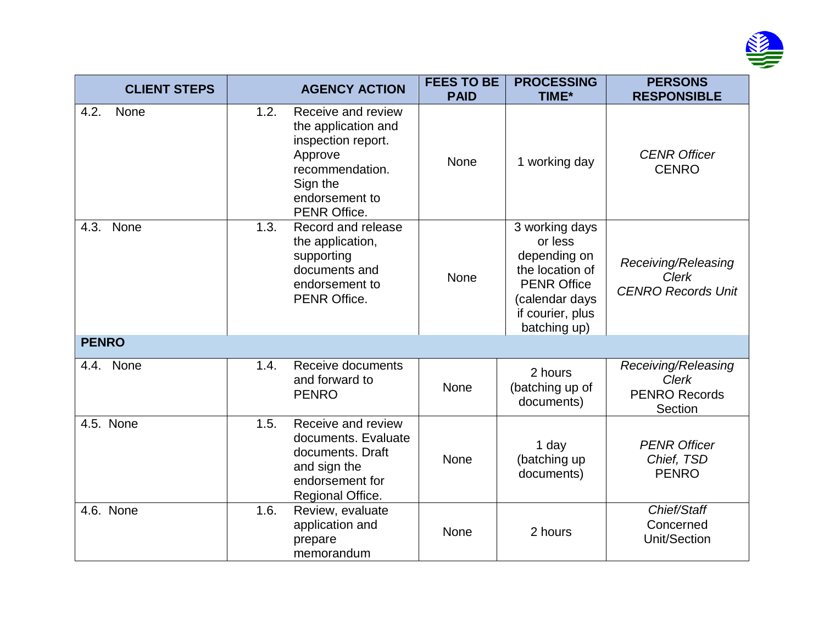

| <b>CLIENT STEPS</b> |      | <b>AGENCY ACTION</b>                                                                                                                               | <b>FEES TO BE</b><br><b>PAID</b> | <b>PROCESSING</b><br>TIME*                                                                                                               | <b>PERSONS</b><br><b>RESPONSIBLE</b>                                   |
|---------------------|------|----------------------------------------------------------------------------------------------------------------------------------------------------|----------------------------------|------------------------------------------------------------------------------------------------------------------------------------------|------------------------------------------------------------------------|
| 4.2.<br><b>None</b> | 1.2. | Receive and review<br>the application and<br>inspection report.<br>Approve<br>recommendation.<br>Sign the<br>endorsement to<br><b>PENR Office.</b> | <b>None</b>                      | 1 working day                                                                                                                            | <b>CENR Officer</b><br><b>CENRO</b>                                    |
| 4.3. None           | 1.3. | Record and release<br>the application,<br>supporting<br>documents and<br>endorsement to<br>PENR Office.                                            | None                             | 3 working days<br>or less<br>depending on<br>the location of<br><b>PENR Office</b><br>(calendar days<br>if courier, plus<br>batching up) | Receiving/Releasing<br><b>Clerk</b><br><b>CENRO Records Unit</b>       |
| <b>PENRO</b>        |      |                                                                                                                                                    |                                  |                                                                                                                                          |                                                                        |
| 4.4. None           | 1.4. | Receive documents<br>and forward to<br><b>PENRO</b>                                                                                                | <b>None</b>                      | 2 hours<br>(batching up of<br>documents)                                                                                                 | Receiving/Releasing<br><b>Clerk</b><br><b>PENRO Records</b><br>Section |
| 4.5. None           | 1.5. | Receive and review<br>documents. Evaluate<br>documents. Draft<br>and sign the<br>endorsement for<br>Regional Office.                               | <b>None</b>                      | 1 day<br>(batching up<br>documents)                                                                                                      | <b>PENR Officer</b><br>Chief, TSD<br><b>PENRO</b>                      |
| 4.6. None           | 1.6. | Review, evaluate<br>application and<br>prepare<br>memorandum                                                                                       | None                             | 2 hours                                                                                                                                  | Chief/Staff<br>Concerned<br>Unit/Section                               |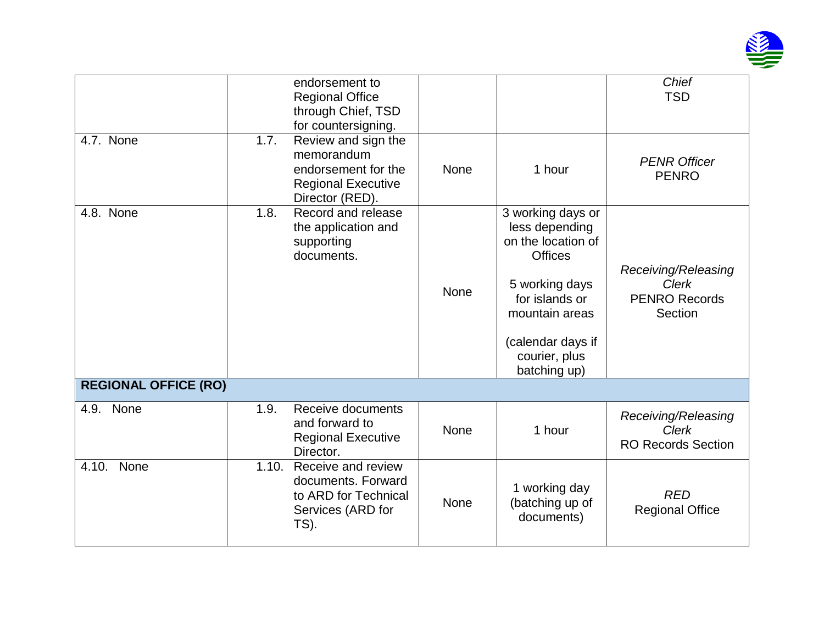

|                             |       | endorsement to<br><b>Regional Office</b><br>through Chief, TSD<br>for countersigning.                    |             |                                                                                                                                                                                         | <b>Chief</b><br><b>TSD</b>                                             |
|-----------------------------|-------|----------------------------------------------------------------------------------------------------------|-------------|-----------------------------------------------------------------------------------------------------------------------------------------------------------------------------------------|------------------------------------------------------------------------|
| 4.7. None                   | 1.7.  | Review and sign the<br>memorandum<br>endorsement for the<br><b>Regional Executive</b><br>Director (RED). | None        | 1 hour                                                                                                                                                                                  | <b>PENR Officer</b><br><b>PENRO</b>                                    |
| 4.8. None                   | 1.8.  | Record and release<br>the application and<br>supporting<br>documents.                                    | <b>None</b> | 3 working days or<br>less depending<br>on the location of<br><b>Offices</b><br>5 working days<br>for islands or<br>mountain areas<br>(calendar days if<br>courier, plus<br>batching up) | Receiving/Releasing<br><b>Clerk</b><br><b>PENRO Records</b><br>Section |
| <b>REGIONAL OFFICE (RO)</b> |       |                                                                                                          |             |                                                                                                                                                                                         |                                                                        |
| 4.9. None                   | 1.9.  | Receive documents<br>and forward to<br><b>Regional Executive</b><br>Director.                            | None        | 1 hour                                                                                                                                                                                  | Receiving/Releasing<br><b>Clerk</b><br><b>RO Records Section</b>       |
| None<br>4.10.               | 1.10. | Receive and review<br>documents. Forward<br>to ARD for Technical<br>Services (ARD for<br>TS).            | None        | 1 working day<br>(batching up of<br>documents)                                                                                                                                          | <b>RED</b><br><b>Regional Office</b>                                   |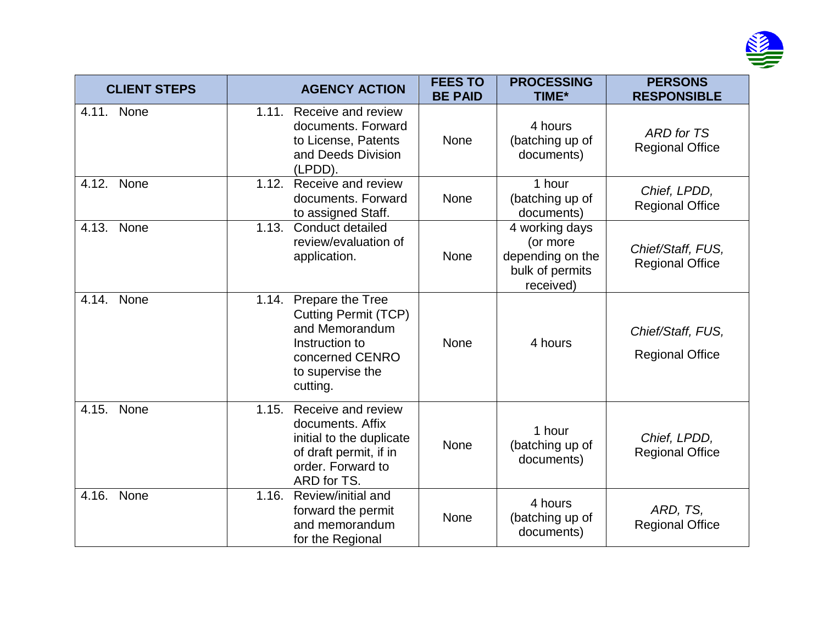

| <b>CLIENT STEPS</b> | <b>AGENCY ACTION</b>                                                                                                                            | <b>FEES TO</b><br><b>BE PAID</b> | <b>PROCESSING</b><br>TIME*                                                     | <b>PERSONS</b><br><b>RESPONSIBLE</b>        |
|---------------------|-------------------------------------------------------------------------------------------------------------------------------------------------|----------------------------------|--------------------------------------------------------------------------------|---------------------------------------------|
| 4.11. None          | 1.11.<br>Receive and review<br>documents, Forward<br>to License, Patents<br>and Deeds Division<br>(LPDD).                                       | None                             | 4 hours<br>(batching up of<br>documents)                                       | <b>ARD</b> for TS<br><b>Regional Office</b> |
| 4.12. None          | 1.12.<br>Receive and review<br>documents. Forward<br>to assigned Staff.                                                                         | <b>None</b>                      | 1 hour<br>(batching up of<br>documents)                                        | Chief, LPDD,<br><b>Regional Office</b>      |
| 4.13.<br>None       | 1.13.<br>Conduct detailed<br>review/evaluation of<br>application.                                                                               | None                             | 4 working days<br>(or more<br>depending on the<br>bulk of permits<br>received) | Chief/Staff, FUS,<br><b>Regional Office</b> |
| None<br>4.14.       | Prepare the Tree<br>1.14.<br><b>Cutting Permit (TCP)</b><br>and Memorandum<br>Instruction to<br>concerned CENRO<br>to supervise the<br>cutting. | None                             | 4 hours                                                                        | Chief/Staff, FUS,<br><b>Regional Office</b> |
| 4.15. None          | Receive and review<br>1.15.<br>documents. Affix<br>initial to the duplicate<br>of draft permit, if in<br>order. Forward to<br>ARD for TS.       | <b>None</b>                      | 1 hour<br>(batching up of<br>documents)                                        | Chief, LPDD,<br><b>Regional Office</b>      |
| 4.16. None          | Review/initial and<br>1.16.<br>forward the permit<br>and memorandum<br>for the Regional                                                         | None                             | 4 hours<br>(batching up of<br>documents)                                       | ARD, TS,<br><b>Regional Office</b>          |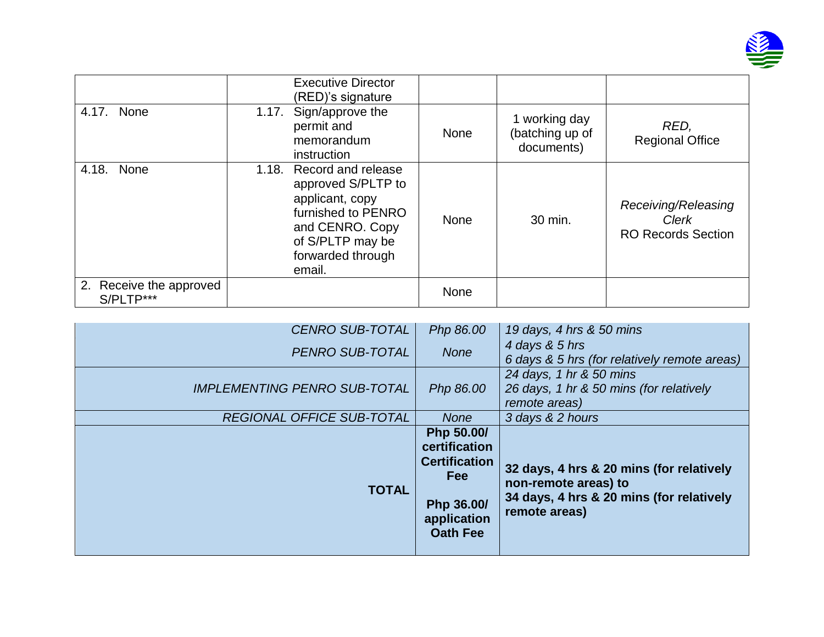

|                                      | <b>Executive Director</b><br>(RED)'s signature                                                                                                                   |             |                                                |                                                           |
|--------------------------------------|------------------------------------------------------------------------------------------------------------------------------------------------------------------|-------------|------------------------------------------------|-----------------------------------------------------------|
| None<br>4.17.                        | Sign/approve the<br>1.17.<br>permit and<br>memorandum<br>instruction                                                                                             | <b>None</b> | 1 working day<br>(batching up of<br>documents) | RED,<br><b>Regional Office</b>                            |
| 4.18.<br>None                        | Record and release<br>1.18.<br>approved S/PLTP to<br>applicant, copy<br>furnished to PENRO<br>and CENRO. Copy<br>of S/PLTP may be<br>forwarded through<br>email. | <b>None</b> | 30 min.                                        | Receiving/Releasing<br>Clerk<br><b>RO Records Section</b> |
| 2. Receive the approved<br>S/PLTP*** |                                                                                                                                                                  | <b>None</b> |                                                |                                                           |

| <b>CENRO SUB-TOTAL</b>              | Php 86.00                                                                                                         | 19 days, 4 hrs & 50 mins                                                                                                      |
|-------------------------------------|-------------------------------------------------------------------------------------------------------------------|-------------------------------------------------------------------------------------------------------------------------------|
| <b>PENRO SUB-TOTAL</b>              | <b>None</b>                                                                                                       | 4 days & 5 hrs<br>6 days & 5 hrs (for relatively remote areas)                                                                |
| <b>IMPLEMENTING PENRO SUB-TOTAL</b> | Php 86.00                                                                                                         | 24 days, 1 hr & 50 mins<br>26 days, 1 hr & 50 mins (for relatively<br>remote areas)                                           |
| <b>REGIONAL OFFICE SUB-TOTAL</b>    | <b>None</b>                                                                                                       | 3 days & 2 hours                                                                                                              |
| <b>TOTAL</b>                        | Php 50.00/<br>certification<br><b>Certification</b><br><b>Fee</b><br>Php 36.00/<br>application<br><b>Oath Fee</b> | 32 days, 4 hrs & 20 mins (for relatively<br>non-remote areas) to<br>34 days, 4 hrs & 20 mins (for relatively<br>remote areas) |